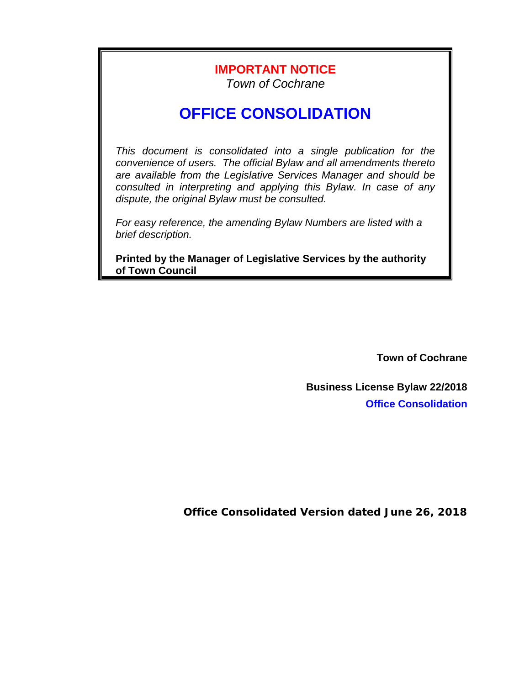## **IMPORTANT NOTICE**

*Town of Cochrane*

# **OFFICE CONSOLIDATION**

*This document is consolidated into a single publication for the convenience of users. The official Bylaw and all amendments thereto are available from the Legislative Services Manager and should be consulted in interpreting and applying this Bylaw. In case of any dispute, the original Bylaw must be consulted.*

*For easy reference, the amending Bylaw Numbers are listed with a brief description.*

**Printed by the Manager of Legislative Services by the authority of Town Council**

**Town of Cochrane**

**Business License Bylaw 22/2018 Office Consolidation**

**Office Consolidated Version dated June 26, 2018**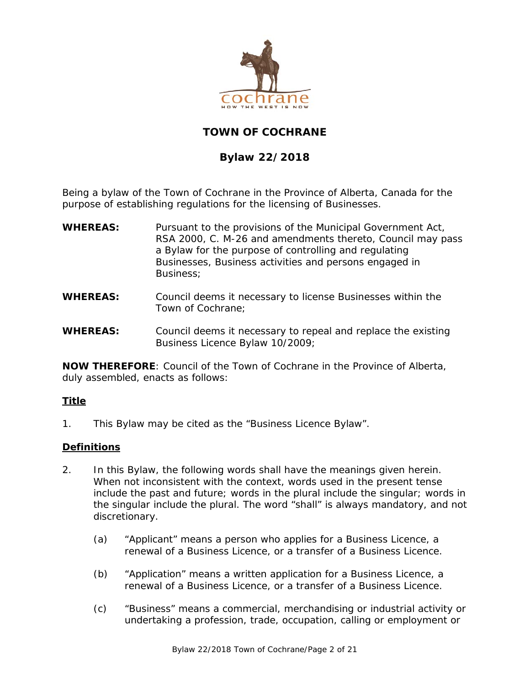

### **TOWN OF COCHRANE**

### **Bylaw 22/2018**

Being a bylaw of the Town of Cochrane in the Province of Alberta, Canada for the purpose of establishing regulations for the licensing of Businesses.

- **WHEREAS:** Pursuant to the provisions of the *Municipal Government Act*, RSA 2000, C. M-26 and amendments thereto, Council may pass a Bylaw for the purpose of controlling and regulating Businesses, Business activities and persons engaged in Business;
- **WHEREAS:** Council deems it necessary to license Businesses within the Town of Cochrane;
- **WHEREAS:** Council deems it necessary to repeal and replace the existing Business Licence Bylaw 10/2009;

**NOW THEREFORE**: Council of the Town of Cochrane in the Province of Alberta, duly assembled, enacts as follows:

### **Title**

1. This Bylaw may be cited as the "Business Licence Bylaw".

### **Definitions**

- 2. In this Bylaw, the following words shall have the meanings given herein. When not inconsistent with the context, words used in the present tense include the past and future; words in the plural include the singular; words in the singular include the plural. The word "shall" is always mandatory, and not discretionary.
	- (a) "Applicant" means a person who applies for a Business Licence, a renewal of a Business Licence, or a transfer of a Business Licence.
	- (b) "Application" means a written application for a Business Licence, a renewal of a Business Licence, or a transfer of a Business Licence.
	- (c) "Business" means a commercial, merchandising or industrial activity or undertaking a profession, trade, occupation, calling or employment or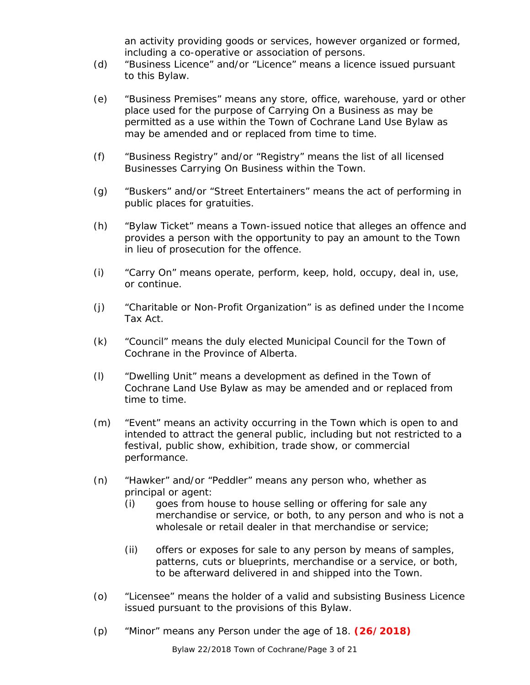an activity providing goods or services, however organized or formed, including a co-operative or association of persons.

- (d) "Business Licence" and/or "Licence" means a licence issued pursuant to this Bylaw.
- (e) "Business Premises" means any store, office, warehouse, yard or other place used for the purpose of Carrying On a Business as may be permitted as a use within the Town of Cochrane Land Use Bylaw as may be amended and or replaced from time to time.
- (f) "Business Registry" and/or "Registry" means the list of all licensed Businesses Carrying On Business within the Town.
- (g) "Buskers" and/or "Street Entertainers" means the act of performing in public places for gratuities.
- (h) "Bylaw Ticket" means a Town-issued notice that alleges an offence and provides a person with the opportunity to pay an amount to the Town in lieu of prosecution for the offence.
- (i) "Carry On" means operate, perform, keep, hold, occupy, deal in, use, or continue.
- (j) "Charitable or Non-Profit Organization" is as defined under the *Income Tax Act*.
- (k) "Council" means the duly elected Municipal Council for the Town of Cochrane in the Province of Alberta.
- (l) "Dwelling Unit" means a development as defined in the Town of Cochrane Land Use Bylaw as may be amended and or replaced from time to time.
- (m) "Event" means an activity occurring in the Town which is open to and intended to attract the general public, including but not restricted to a festival, public show, exhibition, trade show, or commercial performance.
- (n) "Hawker" and/or "Peddler" means any person who, whether as principal or agent:
	- (i) goes from house to house selling or offering for sale any merchandise or service, or both, to any person and who is not a wholesale or retail dealer in that merchandise or service;
	- (ii) offers or exposes for sale to any person by means of samples, patterns, cuts or blueprints, merchandise or a service, or both, to be afterward delivered in and shipped into the Town.
- (o) "Licensee" means the holder of a valid and subsisting Business Licence issued pursuant to the provisions of this Bylaw.
- (p) "Minor" means any Person under the age of 18. **(26/2018)**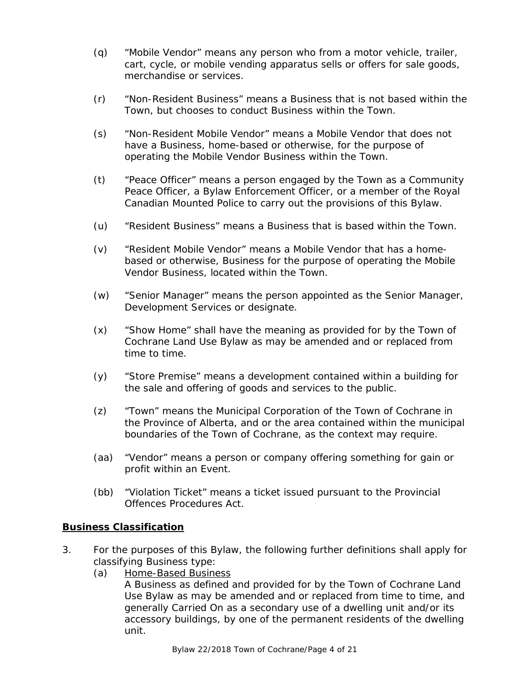- (q) "Mobile Vendor" means any person who from a motor vehicle, trailer, cart, cycle, or mobile vending apparatus sells or offers for sale goods, merchandise or services.
- (r) "Non-Resident Business" means a Business that is not based within the Town, but chooses to conduct Business within the Town.
- (s) "Non-Resident Mobile Vendor" means a Mobile Vendor that does not have a Business, home-based or otherwise, for the purpose of operating the Mobile Vendor Business within the Town.
- (t) "Peace Officer" means a person engaged by the Town as a Community Peace Officer, a Bylaw Enforcement Officer, or a member of the Royal Canadian Mounted Police to carry out the provisions of this Bylaw.
- (u) "Resident Business" means a Business that is based within the Town.
- (v) "Resident Mobile Vendor" means a Mobile Vendor that has a homebased or otherwise, Business for the purpose of operating the Mobile Vendor Business, located within the Town.
- (w) "Senior Manager" means the person appointed as the Senior Manager, Development Services or designate.
- (x) "Show Home" shall have the meaning as provided for by the Town of Cochrane Land Use Bylaw as may be amended and or replaced from time to time.
- (y) "Store Premise" means a development contained within a building for the sale and offering of goods and services to the public.
- (z) "Town" means the Municipal Corporation of the Town of Cochrane in the Province of Alberta, and or the area contained within the municipal boundaries of the Town of Cochrane, as the context may require.
- (aa) "Vendor" means a person or company offering something for gain or profit within an Event.
- (bb) "Violation Ticket" means a ticket issued pursuant to the *Provincial Offences Procedures Act.*

#### **Business Classification**

- 3. For the purposes of this Bylaw, the following further definitions shall apply for classifying Business type:
	- (a) Home-Based Business

A Business as defined and provided for by the Town of Cochrane Land Use Bylaw as may be amended and or replaced from time to time, and generally Carried On as a secondary use of a dwelling unit and/or its accessory buildings, by one of the permanent residents of the dwelling unit.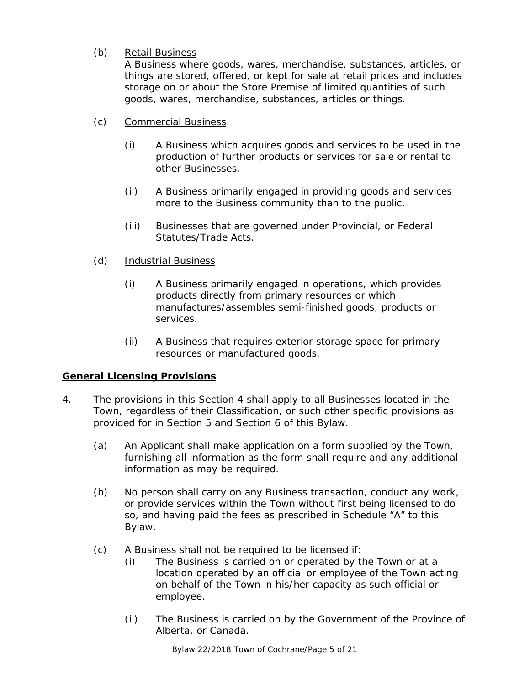### (b) Retail Business

A Business where goods, wares, merchandise, substances, articles, or things are stored, offered, or kept for sale at retail prices and includes storage on or about the Store Premise of limited quantities of such goods, wares, merchandise, substances, articles or things.

- (c) Commercial Business
	- (i) A Business which acquires goods and services to be used in the production of further products or services for sale or rental to other Businesses.
	- (ii) A Business primarily engaged in providing goods and services more to the Business community than to the public.
	- (iii) Businesses that are governed under Provincial, or Federal Statutes/Trade Acts.

#### (d) Industrial Business

- (i) A Business primarily engaged in operations, which provides products directly from primary resources or which manufactures/assembles semi-finished goods, products or services.
- (ii) A Business that requires exterior storage space for primary resources or manufactured goods.

### **General Licensing Provisions**

- 4. The provisions in this Section 4 shall apply to all Businesses located in the Town, regardless of their Classification, or such other specific provisions as provided for in Section 5 and Section 6 of this Bylaw.
	- (a) An Applicant shall make application on a form supplied by the Town, furnishing all information as the form shall require and any additional information as may be required.
	- (b) No person shall carry on any Business transaction, conduct any work, or provide services within the Town without first being licensed to do so, and having paid the fees as prescribed in Schedule "A" to this Bylaw.
	- (c) A Business shall not be required to be licensed if:
		- (i) The Business is carried on or operated by the Town or at a location operated by an official or employee of the Town acting on behalf of the Town in his/her capacity as such official or employee.
		- (ii) The Business is carried on by the Government of the Province of Alberta, or Canada.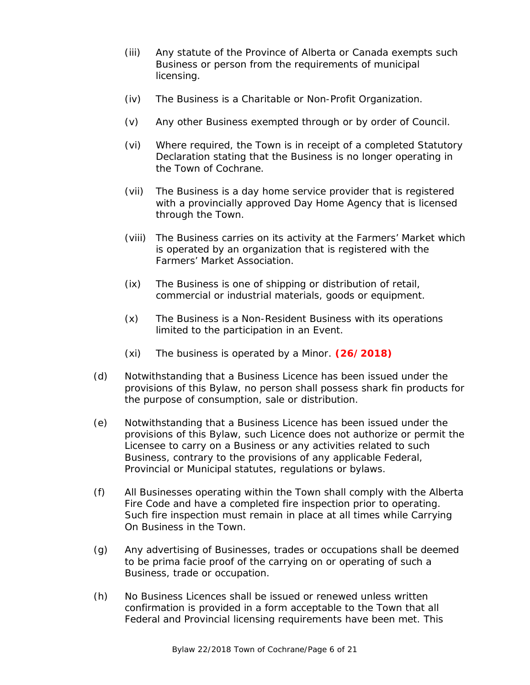- (iii) Any statute of the Province of Alberta or Canada exempts such Business or person from the requirements of municipal licensing.
- (iv) The Business is a Charitable or Non-Profit Organization.
- (v) Any other Business exempted through or by order of Council.
- (vi) Where required, the Town is in receipt of a completed Statutory Declaration stating that the Business is no longer operating in the Town of Cochrane.
- (vii) The Business is a day home service provider that is registered with a provincially approved Day Home Agency that is licensed through the Town.
- (viii) The Business carries on its activity at the Farmers' Market which is operated by an organization that is registered with the Farmers' Market Association.
- (ix) The Business is one of shipping or distribution of retail, commercial or industrial materials, goods or equipment.
- (x) The Business is a Non-Resident Business with its operations limited to the participation in an Event.
- (xi) The business is operated by a Minor. **(26/2018)**
- (d) Notwithstanding that a Business Licence has been issued under the provisions of this Bylaw, no person shall possess shark fin products for the purpose of consumption, sale or distribution.
- (e) Notwithstanding that a Business Licence has been issued under the provisions of this Bylaw, such Licence does not authorize or permit the Licensee to carry on a Business or any activities related to such Business, contrary to the provisions of any applicable Federal, Provincial or Municipal statutes, regulations or bylaws.
- (f) All Businesses operating within the Town shall comply with the Alberta Fire Code and have a completed fire inspection prior to operating. Such fire inspection must remain in place at all times while Carrying On Business in the Town.
- (g) Any advertising of Businesses, trades or occupations shall be deemed to be prima facie proof of the carrying on or operating of such a Business, trade or occupation.
- (h) No Business Licences shall be issued or renewed unless written confirmation is provided in a form acceptable to the Town that all Federal and Provincial licensing requirements have been met. This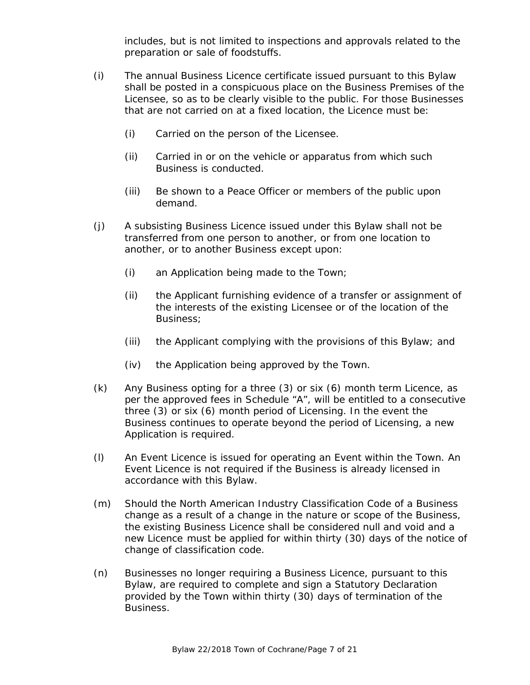includes, but is not limited to inspections and approvals related to the preparation or sale of foodstuffs.

- (i) The annual Business Licence certificate issued pursuant to this Bylaw shall be posted in a conspicuous place on the Business Premises of the Licensee, so as to be clearly visible to the public. For those Businesses that are not carried on at a fixed location, the Licence must be:
	- (i) Carried on the person of the Licensee.
	- (ii) Carried in or on the vehicle or apparatus from which such Business is conducted.
	- (iii) Be shown to a Peace Officer or members of the public upon demand.
- (j) A subsisting Business Licence issued under this Bylaw shall not be transferred from one person to another, or from one location to another, or to another Business except upon:
	- (i) an Application being made to the Town;
	- (ii) the Applicant furnishing evidence of a transfer or assignment of the interests of the existing Licensee or of the location of the Business;
	- (iii) the Applicant complying with the provisions of this Bylaw; and
	- (iv) the Application being approved by the Town.
- (k) Any Business opting for a three (3) or six (6) month term Licence, as per the approved fees in Schedule "A", will be entitled to a consecutive three (3) or six (6) month period of Licensing. In the event the Business continues to operate beyond the period of Licensing, a new Application is required.
- (l) An Event Licence is issued for operating an Event within the Town. An Event Licence is not required if the Business is already licensed in accordance with this Bylaw.
- (m) Should the North American Industry Classification Code of a Business change as a result of a change in the nature or scope of the Business, the existing Business Licence shall be considered null and void and a new Licence must be applied for within thirty (30) days of the notice of change of classification code.
- (n) Businesses no longer requiring a Business Licence, pursuant to this Bylaw, are required to complete and sign a Statutory Declaration provided by the Town within thirty (30) days of termination of the Business.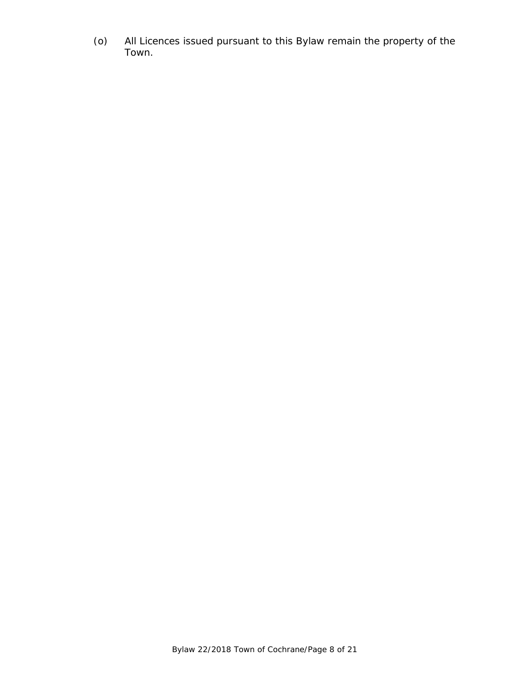(o) All Licences issued pursuant to this Bylaw remain the property of the Town.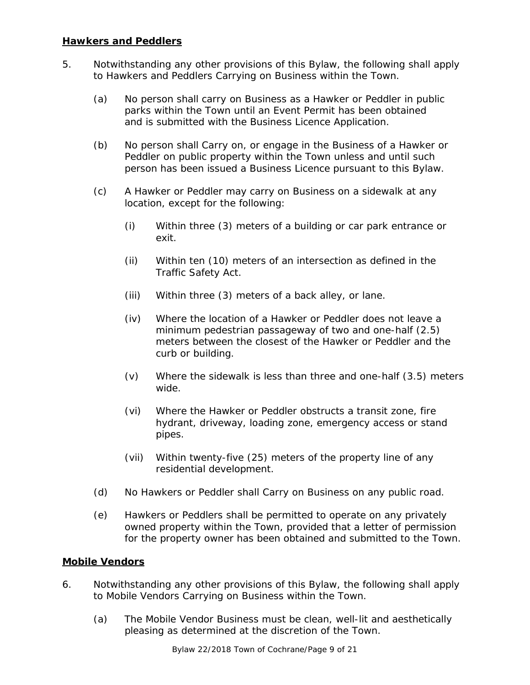#### **Hawkers and Peddlers**

- 5. Notwithstanding any other provisions of this Bylaw, the following shall apply to Hawkers and Peddlers Carrying on Business within the Town.
	- (a) No person shall carry on Business as a Hawker or Peddler in public parks within the Town until an Event Permit has been obtained and is submitted with the Business Licence Application.
	- (b) No person shall Carry on, or engage in the Business of a Hawker or Peddler on public property within the Town unless and until such person has been issued a Business Licence pursuant to this Bylaw.
	- (c) A Hawker or Peddler may carry on Business on a sidewalk at any location, except for the following:
		- (i) Within three (3) meters of a building or car park entrance or exit.
		- (ii) Within ten (10) meters of an intersection as defined in the *Traffic Safety Act.*
		- (iii) Within three (3) meters of a back alley, or lane.
		- (iv) Where the location of a Hawker or Peddler does not leave a minimum pedestrian passageway of two and one-half (2.5) meters between the closest of the Hawker or Peddler and the curb or building.
		- (v) Where the sidewalk is less than three and one-half (3.5) meters wide.
		- (vi) Where the Hawker or Peddler obstructs a transit zone, fire hydrant, driveway, loading zone, emergency access or stand pipes.
		- (vii) Within twenty-five (25) meters of the property line of any residential development.
	- (d) No Hawkers or Peddler shall Carry on Business on any public road.
	- (e) Hawkers or Peddlers shall be permitted to operate on any privately owned property within the Town, provided that a letter of permission for the property owner has been obtained and submitted to the Town.

#### **Mobile Vendors**

- 6. Notwithstanding any other provisions of this Bylaw, the following shall apply to Mobile Vendors Carrying on Business within the Town.
	- (a) The Mobile Vendor Business must be clean, well-lit and aesthetically pleasing as determined at the discretion of the Town.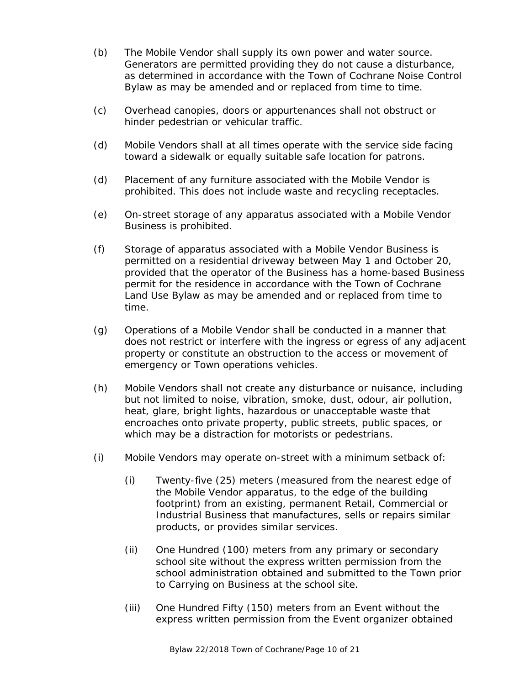- (b) The Mobile Vendor shall supply its own power and water source. Generators are permitted providing they do not cause a disturbance, as determined in accordance with the Town of Cochrane Noise Control Bylaw as may be amended and or replaced from time to time.
- (c) Overhead canopies, doors or appurtenances shall not obstruct or hinder pedestrian or vehicular traffic.
- (d) Mobile Vendors shall at all times operate with the service side facing toward a sidewalk or equally suitable safe location for patrons.
- (d) Placement of any furniture associated with the Mobile Vendor is prohibited. This does not include waste and recycling receptacles.
- (e) On-street storage of any apparatus associated with a Mobile Vendor Business is prohibited.
- (f) Storage of apparatus associated with a Mobile Vendor Business is permitted on a residential driveway between May 1 and October 20, provided that the operator of the Business has a home-based Business permit for the residence in accordance with the Town of Cochrane Land Use Bylaw as may be amended and or replaced from time to time.
- (g) Operations of a Mobile Vendor shall be conducted in a manner that does not restrict or interfere with the ingress or egress of any adjacent property or constitute an obstruction to the access or movement of emergency or Town operations vehicles.
- (h) Mobile Vendors shall not create any disturbance or nuisance, including but not limited to noise, vibration, smoke, dust, odour, air pollution, heat, glare, bright lights, hazardous or unacceptable waste that encroaches onto private property, public streets, public spaces, or which may be a distraction for motorists or pedestrians.
- (i) Mobile Vendors may operate on-street with a minimum setback of:
	- (i) Twenty-five (25) meters (measured from the nearest edge of the Mobile Vendor apparatus, to the edge of the building footprint) from an existing, permanent Retail, Commercial or Industrial Business that manufactures, sells or repairs similar products, or provides similar services.
	- (ii) One Hundred (100) meters from any primary or secondary school site without the express written permission from the school administration obtained and submitted to the Town prior to Carrying on Business at the school site.
	- (iii) One Hundred Fifty (150) meters from an Event without the express written permission from the Event organizer obtained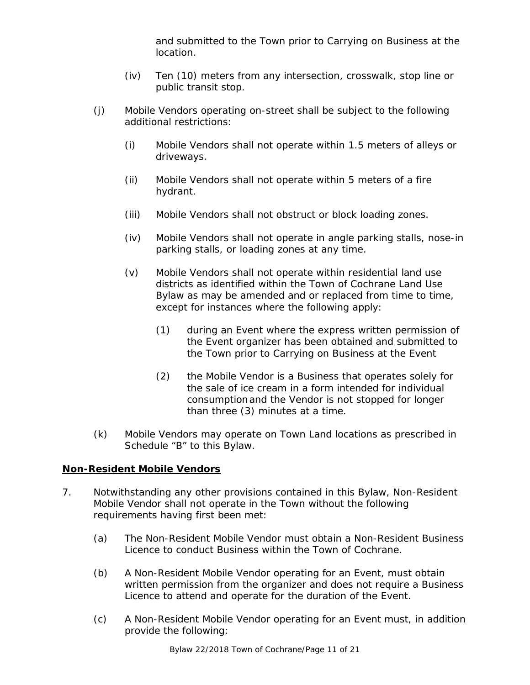and submitted to the Town prior to Carrying on Business at the location.

- (iv) Ten (10) meters from any intersection, crosswalk, stop line or public transit stop.
- (j) Mobile Vendors operating on-street shall be subject to the following additional restrictions:
	- (i) Mobile Vendors shall not operate within 1.5 meters of alleys or driveways.
	- (ii) Mobile Vendors shall not operate within 5 meters of a fire hydrant.
	- (iii) Mobile Vendors shall not obstruct or block loading zones.
	- (iv) Mobile Vendors shall not operate in angle parking stalls, nose-in parking stalls, or loading zones at any time.
	- (v) Mobile Vendors shall not operate within residential land use districts as identified within the Town of Cochrane Land Use Bylaw as may be amended and or replaced from time to time, except for instances where the following apply:
		- (1) during an Event where the express written permission of the Event organizer has been obtained and submitted to the Town prior to Carrying on Business at the Event
		- (2) the Mobile Vendor is a Business that operates solely for the sale of ice cream in a form intended for individual consumptionand the Vendor is not stopped for longer than three (3) minutes at a time.
- (k) Mobile Vendors may operate on Town Land locations as prescribed in Schedule "B" to this Bylaw.

#### **Non-Resident Mobile Vendors**

- 7. Notwithstanding any other provisions contained in this Bylaw, Non-Resident Mobile Vendor shall not operate in the Town without the following requirements having first been met:
	- (a) The Non-Resident Mobile Vendor must obtain a Non-Resident Business Licence to conduct Business within the Town of Cochrane.
	- (b) A Non-Resident Mobile Vendor operating for an Event, must obtain written permission from the organizer and does not require a Business Licence to attend and operate for the duration of the Event.
	- (c) A Non-Resident Mobile Vendor operating for an Event must, in addition provide the following: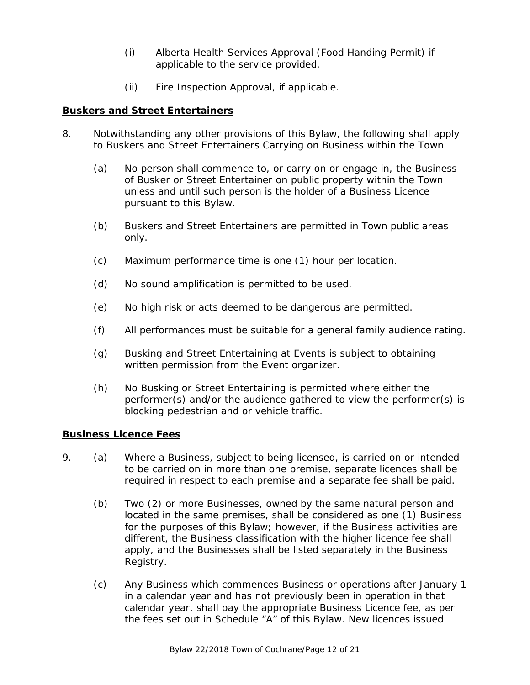- (i) Alberta Health Services Approval (Food Handing Permit) if applicable to the service provided.
- (ii) Fire Inspection Approval, if applicable.

#### **Buskers and Street Entertainers**

- 8. Notwithstanding any other provisions of this Bylaw, the following shall apply to Buskers and Street Entertainers Carrying on Business within the Town
	- (a) No person shall commence to, or carry on or engage in, the Business of Busker or Street Entertainer on public property within the Town unless and until such person is the holder of a Business Licence pursuant to this Bylaw.
	- (b) Buskers and Street Entertainers are permitted in Town public areas only.
	- (c) Maximum performance time is one (1) hour per location.
	- (d) No sound amplification is permitted to be used.
	- (e) No high risk or acts deemed to be dangerous are permitted.
	- (f) All performances must be suitable for a general family audience rating.
	- (g) Busking and Street Entertaining at Events is subject to obtaining written permission from the Event organizer.
	- (h) No Busking or Street Entertaining is permitted where either the performer(s) and/or the audience gathered to view the performer(s) is blocking pedestrian and or vehicle traffic.

#### **Business Licence Fees**

- 9. (a) Where a Business, subject to being licensed, is carried on or intended to be carried on in more than one premise, separate licences shall be required in respect to each premise and a separate fee shall be paid.
	- (b) Two (2) or more Businesses, owned by the same natural person and located in the same premises, shall be considered as one (1) Business for the purposes of this Bylaw; however, if the Business activities are different, the Business classification with the higher licence fee shall apply, and the Businesses shall be listed separately in the Business Registry.
	- (c) Any Business which commences Business or operations after January 1 in a calendar year and has not previously been in operation in that calendar year, shall pay the appropriate Business Licence fee, as per the fees set out in Schedule "A" of this Bylaw. New licences issued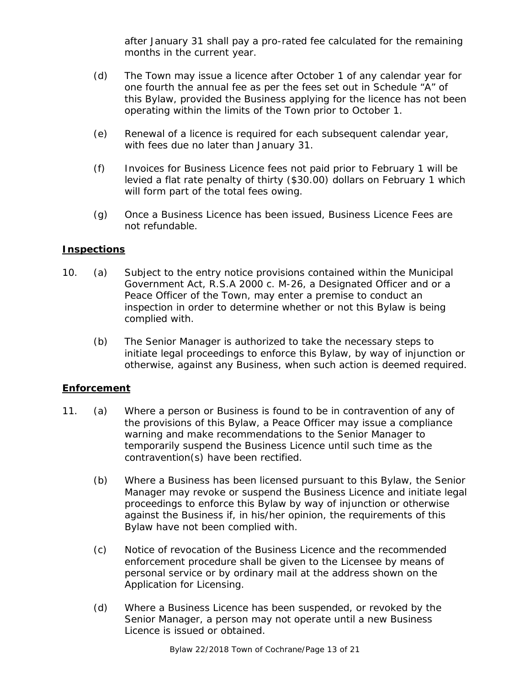after January 31 shall pay a pro-rated fee calculated for the remaining months in the current year.

- (d) The Town may issue a licence after October 1 of any calendar year for one fourth the annual fee as per the fees set out in Schedule "A" of this Bylaw, provided the Business applying for the licence has not been operating within the limits of the Town prior to October 1.
- (e) Renewal of a licence is required for each subsequent calendar year, with fees due no later than January 31.
- (f) Invoices for Business Licence fees not paid prior to February 1 will be levied a flat rate penalty of thirty (\$30.00) dollars on February 1 which will form part of the total fees owing.
- (g) Once a Business Licence has been issued, Business Licence Fees are not refundable.

#### **Inspections**

- 10. (a) Subject to the entry notice provisions contained within the *Municipal Government Act,* R.S.A 2000 c. M-26, a Designated Officer and or a Peace Officer of the Town, may enter a premise to conduct an inspection in order to determine whether or not this Bylaw is being complied with.
	- (b) The Senior Manager is authorized to take the necessary steps to initiate legal proceedings to enforce this Bylaw, by way of injunction or otherwise, against any Business, when such action is deemed required.

#### **Enforcement**

- 11. (a) Where a person or Business is found to be in contravention of any of the provisions of this Bylaw, a Peace Officer may issue a compliance warning and make recommendations to the Senior Manager to temporarily suspend the Business Licence until such time as the contravention(s) have been rectified.
	- (b) Where a Business has been licensed pursuant to this Bylaw, the Senior Manager may revoke or suspend the Business Licence and initiate legal proceedings to enforce this Bylaw by way of injunction or otherwise against the Business if, in his/her opinion, the requirements of this Bylaw have not been complied with.
	- (c) Notice of revocation of the Business Licence and the recommended enforcement procedure shall be given to the Licensee by means of personal service or by ordinary mail at the address shown on the Application for Licensing.
	- (d) Where a Business Licence has been suspended, or revoked by the Senior Manager, a person may not operate until a new Business Licence is issued or obtained.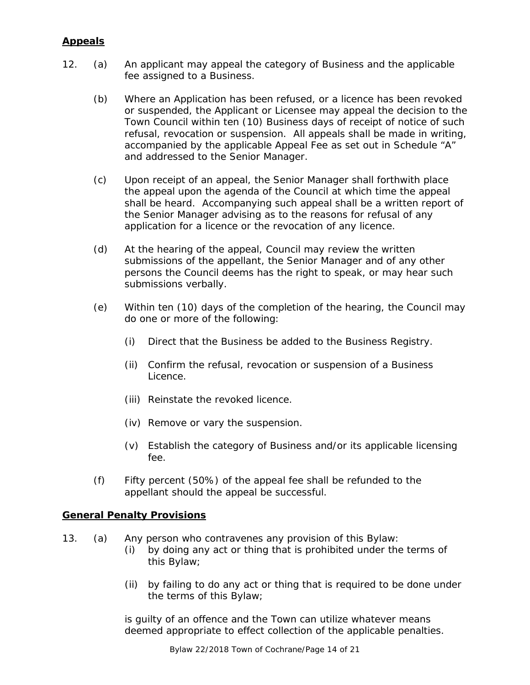### **Appeals**

- 12. (a) An applicant may appeal the category of Business and the applicable fee assigned to a Business.
	- (b) Where an Application has been refused, or a licence has been revoked or suspended, the Applicant or Licensee may appeal the decision to the Town Council within ten (10) Business days of receipt of notice of such refusal, revocation or suspension. All appeals shall be made in writing, accompanied by the applicable Appeal Fee as set out in Schedule "A" and addressed to the Senior Manager.
	- (c) Upon receipt of an appeal, the Senior Manager shall forthwith place the appeal upon the agenda of the Council at which time the appeal shall be heard. Accompanying such appeal shall be a written report of the Senior Manager advising as to the reasons for refusal of any application for a licence or the revocation of any licence.
	- (d) At the hearing of the appeal, Council may review the written submissions of the appellant, the Senior Manager and of any other persons the Council deems has the right to speak, or may hear such submissions verbally.
	- (e) Within ten (10) days of the completion of the hearing, the Council may do one or more of the following:
		- (i) Direct that the Business be added to the Business Registry.
		- (ii) Confirm the refusal, revocation or suspension of a Business Licence.
		- (iii) Reinstate the revoked licence.
		- (iv) Remove or vary the suspension.
		- (v) Establish the category of Business and/or its applicable licensing fee.
	- (f) Fifty percent (50%) of the appeal fee shall be refunded to the appellant should the appeal be successful.

#### **General Penalty Provisions**

- 13. (a) Any person who contravenes any provision of this Bylaw:
	- (i) by doing any act or thing that is prohibited under the terms of this Bylaw;
	- (ii) by failing to do any act or thing that is required to be done under the terms of this Bylaw;

is guilty of an offence and the Town can utilize whatever means deemed appropriate to effect collection of the applicable penalties.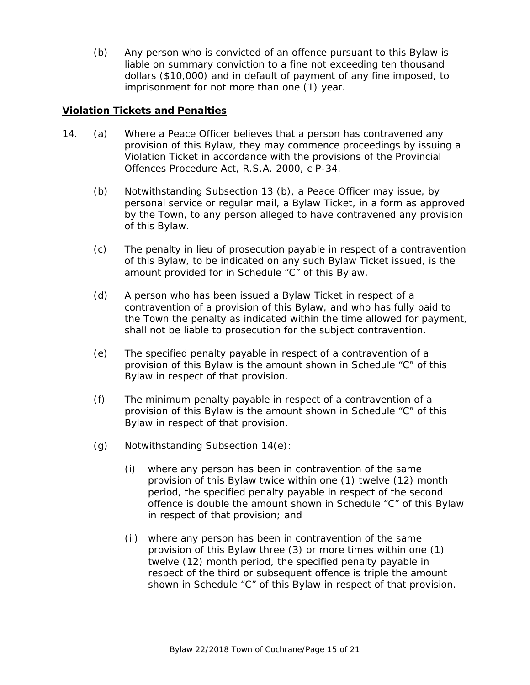(b) Any person who is convicted of an offence pursuant to this Bylaw is liable on summary conviction to a fine not exceeding ten thousand dollars (\$10,000) and in default of payment of any fine imposed, to imprisonment for not more than one (1) year.

#### **Violation Tickets and Penalties**

- 14. (a) Where a Peace Officer believes that a person has contravened any provision of this Bylaw, they may commence proceedings by issuing a Violation Ticket in accordance with the provisions of the *Provincial Offences Procedure Act,* R.S.A. 2000, c P-34.
	- (b) Notwithstanding Subsection 13 (b), a Peace Officer may issue, by personal service or regular mail, a Bylaw Ticket, in a form as approved by the Town, to any person alleged to have contravened any provision of this Bylaw.
	- (c) The penalty in lieu of prosecution payable in respect of a contravention of this Bylaw, to be indicated on any such Bylaw Ticket issued, is the amount provided for in Schedule "C" of this Bylaw.
	- (d) A person who has been issued a Bylaw Ticket in respect of a contravention of a provision of this Bylaw, and who has fully paid to the Town the penalty as indicated within the time allowed for payment, shall not be liable to prosecution for the subject contravention.
	- (e) The specified penalty payable in respect of a contravention of a provision of this Bylaw is the amount shown in Schedule "C" of this Bylaw in respect of that provision.
	- (f) The minimum penalty payable in respect of a contravention of a provision of this Bylaw is the amount shown in Schedule "C" of this Bylaw in respect of that provision.
	- (g) Notwithstanding Subsection 14(e):
		- (i) where any person has been in contravention of the same provision of this Bylaw twice within one (1) twelve (12) month period, the specified penalty payable in respect of the second offence is double the amount shown in Schedule "C" of this Bylaw in respect of that provision; and
		- (ii) where any person has been in contravention of the same provision of this Bylaw three (3) or more times within one (1) twelve (12) month period, the specified penalty payable in respect of the third or subsequent offence is triple the amount shown in Schedule "C" of this Bylaw in respect of that provision.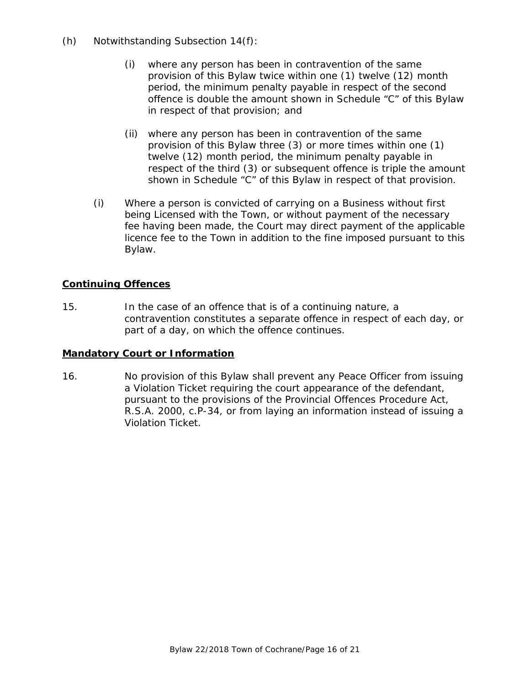- (h) Notwithstanding Subsection 14(f):
	- (i) where any person has been in contravention of the same provision of this Bylaw twice within one (1) twelve (12) month period, the minimum penalty payable in respect of the second offence is double the amount shown in Schedule "C" of this Bylaw in respect of that provision; and
	- (ii) where any person has been in contravention of the same provision of this Bylaw three (3) or more times within one (1) twelve (12) month period, the minimum penalty payable in respect of the third (3) or subsequent offence is triple the amount shown in Schedule "C" of this Bylaw in respect of that provision.
	- (i) Where a person is convicted of carrying on a Business without first being Licensed with the Town, or without payment of the necessary fee having been made, the Court may direct payment of the applicable licence fee to the Town in addition to the fine imposed pursuant to this Bylaw.

### **Continuing Offences**

15. In the case of an offence that is of a continuing nature, a contravention constitutes a separate offence in respect of each day, or part of a day, on which the offence continues.

### **Mandatory Court or Information**

16. No provision of this Bylaw shall prevent any Peace Officer from issuing a Violation Ticket requiring the court appearance of the defendant, pursuant to the provisions of the *Provincial Offences Procedure Act*, R.S.A. 2000, c.P-34, or from laying an information instead of issuing a Violation Ticket.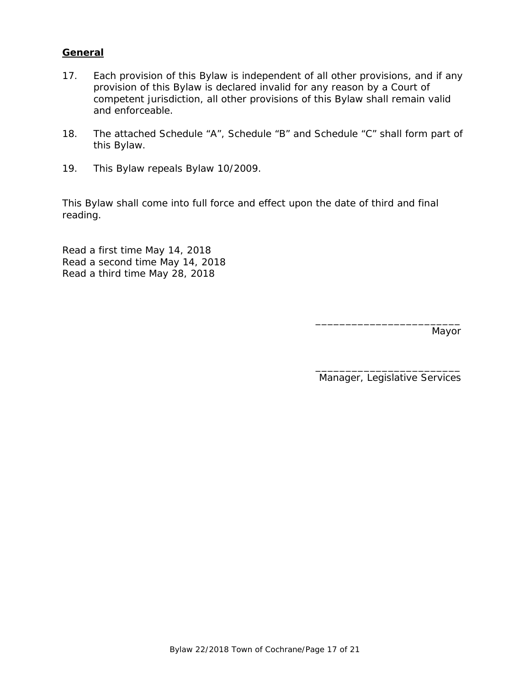#### **General**

- 17. Each provision of this Bylaw is independent of all other provisions, and if any provision of this Bylaw is declared invalid for any reason by a Court of competent jurisdiction, all other provisions of this Bylaw shall remain valid and enforceable.
- 18. The attached Schedule "A", Schedule "B" and Schedule "C" shall form part of this Bylaw.
- 19. This Bylaw repeals Bylaw 10/2009.

This Bylaw shall come into full force and effect upon the date of third and final reading.

Read a first time May 14, 2018 Read a second time May 14, 2018 Read a third time May 28, 2018

Mayor

\_\_\_\_\_\_\_\_\_\_\_\_\_\_\_\_\_\_\_\_\_\_\_\_ Manager, Legislative Services

\_\_\_\_\_\_\_\_\_\_\_\_\_\_\_\_\_\_\_\_\_\_\_\_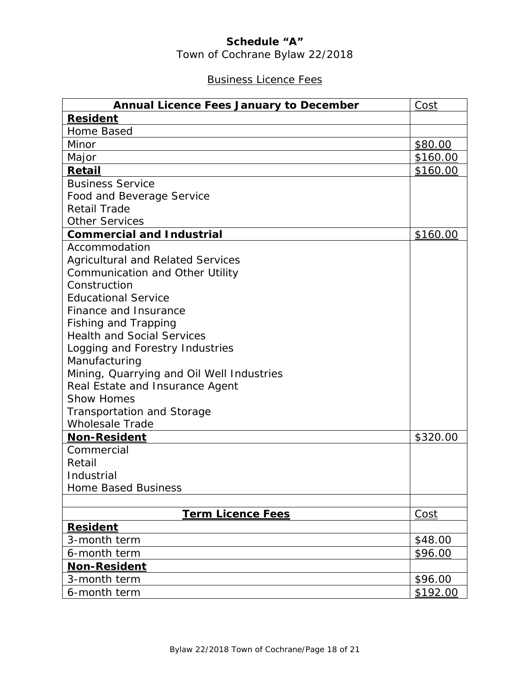## **Schedule "A"**

Town of Cochrane Bylaw 22/2018

## Business Licence Fees

| <b>Annual Licence Fees January to December</b> | Cost     |
|------------------------------------------------|----------|
| <b>Resident</b>                                |          |
| Home Based                                     |          |
| Minor                                          | \$80.00  |
| Major                                          | \$160.00 |
| Retail                                         | \$160.00 |
| <b>Business Service</b>                        |          |
| Food and Beverage Service                      |          |
| <b>Retail Trade</b>                            |          |
| <b>Other Services</b>                          |          |
| <b>Commercial and Industrial</b>               | \$160.00 |
| Accommodation                                  |          |
| <b>Agricultural and Related Services</b>       |          |
| Communication and Other Utility                |          |
| Construction                                   |          |
| <b>Educational Service</b>                     |          |
| Finance and Insurance                          |          |
| Fishing and Trapping                           |          |
| <b>Health and Social Services</b>              |          |
| Logging and Forestry Industries                |          |
| Manufacturing                                  |          |
| Mining, Quarrying and Oil Well Industries      |          |
| Real Estate and Insurance Agent                |          |
| <b>Show Homes</b>                              |          |
| Transportation and Storage                     |          |
| <b>Wholesale Trade</b>                         |          |
| <b>Non-Resident</b>                            | \$320.00 |
| Commercial                                     |          |
| Retail                                         |          |
| Industrial                                     |          |
| <b>Home Based Business</b>                     |          |
|                                                |          |
| <b>Term Licence Fees</b>                       | Cost     |
| <b>Resident</b>                                |          |
| 3-month term                                   | \$48.00  |
| 6-month term                                   | \$96.00  |
| <b>Non-Resident</b>                            |          |
| 3-month term                                   | \$96.00  |
| 6-month term                                   | \$192.00 |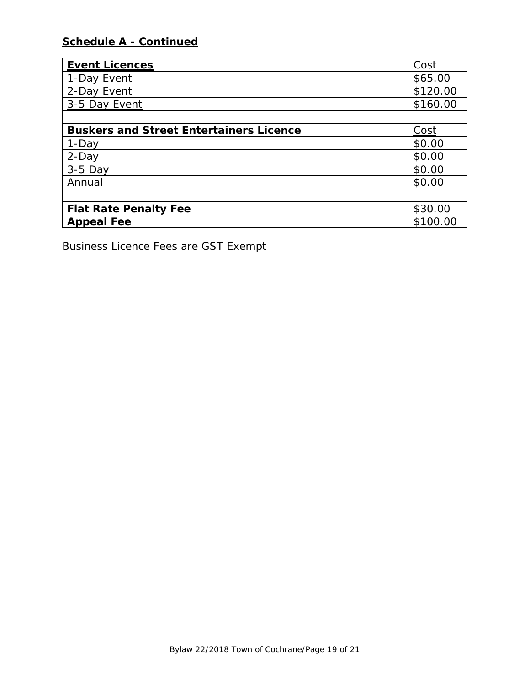## **Schedule A - Continued**

| <b>Event Licences</b>                          | Cost     |
|------------------------------------------------|----------|
| 1-Day Event                                    | \$65.00  |
| 2-Day Event                                    | \$120.00 |
| 3-5 Day Event                                  | \$160.00 |
|                                                |          |
| <b>Buskers and Street Entertainers Licence</b> |          |
| 1-Day                                          | \$0.00   |
| 2-Day                                          | \$0.00   |
| $3-5$ Day                                      | \$0.00   |
| Annual                                         | \$0.00   |
|                                                |          |
| <b>Flat Rate Penalty Fee</b>                   |          |
| <b>Appeal Fee</b>                              |          |

*Business Licence Fees are GST Exempt*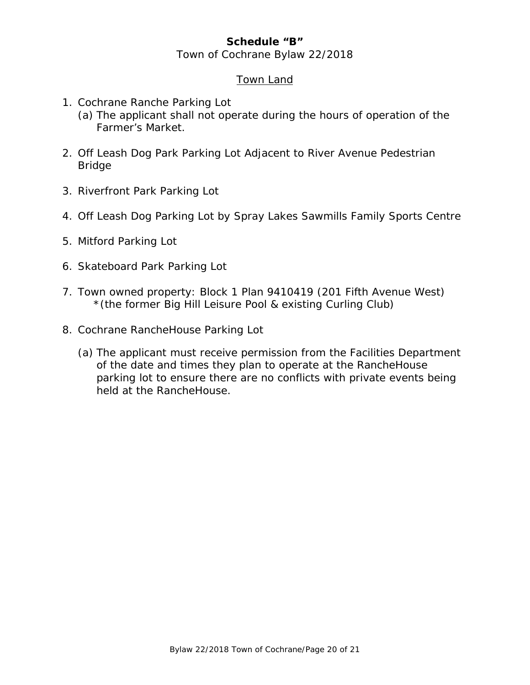### **Schedule "B"**

#### Town of Cochrane Bylaw 22/2018

#### Town Land

- 1. Cochrane Ranche Parking Lot
	- (a) The applicant shall not operate during the hours of operation of the Farmer's Market.
- 2. Off Leash Dog Park Parking Lot Adjacent to River Avenue Pedestrian Bridge
- 3. Riverfront Park Parking Lot
- 4. Off Leash Dog Parking Lot by Spray Lakes Sawmills Family Sports Centre
- 5. Mitford Parking Lot
- 6. Skateboard Park Parking Lot
- 7. Town owned property: Block 1 Plan 9410419 (201 Fifth Avenue West) \*(the former Big Hill Leisure Pool & existing Curling Club)
- 8. Cochrane RancheHouse Parking Lot
	- (a) The applicant must receive permission from the Facilities Department of the date and times they plan to operate at the RancheHouse parking lot to ensure there are no conflicts with private events being held at the RancheHouse.